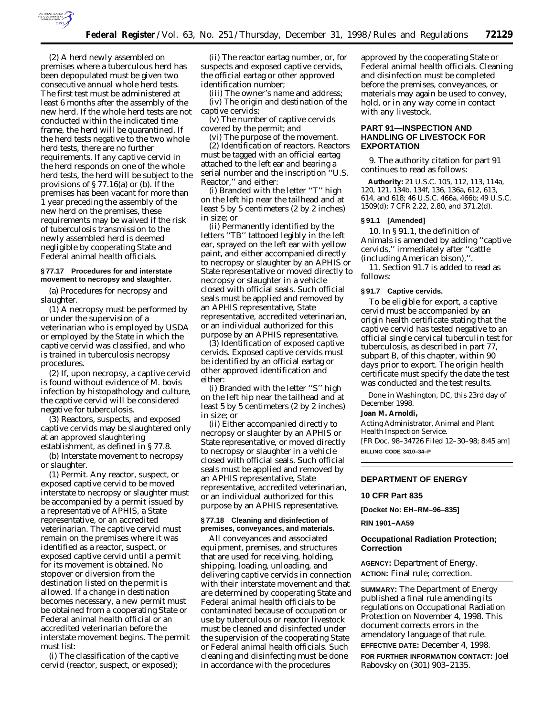

(2) A herd newly assembled on premises where a tuberculous herd has been depopulated must be given two consecutive annual whole herd tests. The first test must be administered at least 6 months after the assembly of the new herd. If the whole herd tests are not conducted within the indicated time frame, the herd will be quarantined. If the herd tests negative to the two whole herd tests, there are no further requirements. If any captive cervid in the herd responds on one of the whole herd tests, the herd will be subject to the provisions of § 77.16(a) or (b). If the premises has been vacant for more than 1 year preceding the assembly of the new herd on the premises, these requirements may be waived if the risk of tuberculosis transmission to the newly assembled herd is deemed negligible by cooperating State and Federal animal health officials.

## **§ 77.17 Procedures for and interstate movement to necropsy and slaughter.**

(a) *Procedures for necropsy and slaughter.*

(1) A necropsy must be performed by or under the supervision of a veterinarian who is employed by USDA or employed by the State in which the captive cervid was classified, and who is trained in tuberculosis necropsy procedures.

(2) If, upon necropsy, a captive cervid is found without evidence of *M. bovis* infection by histopathology and culture, the captive cervid will be considered negative for tuberculosis.

(3) Reactors, suspects, and exposed captive cervids may be slaughtered only at an approved slaughtering establishment, as defined in § 77.8.

(b) *Interstate movement to necropsy or slaughter.*

(1) *Permit.* Any reactor, suspect, or exposed captive cervid to be moved interstate to necropsy or slaughter must be accompanied by a permit issued by a representative of APHIS, a State representative, or an accredited veterinarian. The captive cervid must remain on the premises where it was identified as a reactor, suspect, or exposed captive cervid until a permit for its movement is obtained. No stopover or diversion from the destination listed on the permit is allowed. If a change in destination becomes necessary, a new permit must be obtained from a cooperating State or Federal animal health official or an accredited veterinarian before the interstate movement begins. The permit must list:

(i) The classification of the captive cervid (reactor, suspect, or exposed);

(ii) The reactor eartag number, or, for suspects and exposed captive cervids, the official eartag or other approved identification number;

(iii) The owner's name and address; (iv) The origin and destination of the captive cervids;

(v) The number of captive cervids covered by the permit; and

(vi) The purpose of the movement. (2) *Identification of reactors.* Reactors

must be tagged with an official eartag attached to the left ear and bearing a serial number and the inscription ''U.S. Reactor,'' and either:

(i) Branded with the letter ''T'' high on the left hip near the tailhead and at least 5 by 5 centimeters (2 by 2 inches) in size; or

(ii) Permanently identified by the letters ''TB'' tattooed legibly in the left ear, sprayed on the left ear with yellow paint, and either accompanied directly to necropsy or slaughter by an APHIS or State representative or moved directly to necropsy or slaughter in a vehicle closed with official seals. Such official seals must be applied and removed by an APHIS representative, State representative, accredited veterinarian, or an individual authorized for this purpose by an APHIS representative.

(3) *Identification of exposed captive cervids.* Exposed captive cervids must be identified by an official eartag or other approved identification and either:

(i) Branded with the letter ''S'' high on the left hip near the tailhead and at least 5 by 5 centimeters (2 by 2 inches) in size; or

(ii) Either accompanied directly to necropsy or slaughter by an APHIS or State representative, or moved directly to necropsy or slaughter in a vehicle closed with official seals. Such official seals must be applied and removed by an APHIS representative, State representative, accredited veterinarian, or an individual authorized for this purpose by an APHIS representative.

# **§ 77.18 Cleaning and disinfection of premises, conveyances, and materials.**

All conveyances and associated equipment, premises, and structures that are used for receiving, holding, shipping, loading, unloading, and delivering captive cervids in connection with their interstate movement and that are determined by cooperating State and Federal animal health officials to be contaminated because of occupation or use by tuberculous or reactor livestock must be cleaned and disinfected under the supervision of the cooperating State or Federal animal health officials. Such cleaning and disinfecting must be done in accordance with the procedures

approved by the cooperating State or Federal animal health officials. Cleaning and disinfection must be completed before the premises, conveyances, or materials may again be used to convey, hold, or in any way come in contact with any livestock.

# **PART 91—INSPECTION AND HANDLING OF LIVESTOCK FOR EXPORTATION**

9. The authority citation for part 91 continues to read as follows:

**Authority:** 21 U.S.C. 105, 112, 113, 114a, 120, 121, 134b, 134f, 136, 136a, 612, 613, 614, and 618; 46 U.S.C. 466a, 466b; 49 U.S.C. 1509(d); 7 CFR 2.22, 2.80, and 371.2(d).

#### **§ 91.1 [Amended]**

10. In § 91.1, the definition of *Animals* is amended by adding ''captive cervids,'' immediately after ''cattle (including American bison),''.

11. Section 91.7 is added to read as follows:

#### **§ 91.7 Captive cervids.**

To be eligible for export, a captive cervid must be accompanied by an origin health certificate stating that the captive cervid has tested negative to an official single cervical tuberculin test for tuberculosis, as described in part 77, subpart B, of this chapter, within 90 days prior to export. The origin health certificate must specify the date the test was conducted and the test results.

Done in Washington, DC, this 23rd day of December 1998.

#### **Joan M. Arnoldi,**

*Acting Administrator, Animal and Plant Health Inspection Service.* [FR Doc. 98–34726 Filed 12–30–98; 8:45 am] **BILLING CODE 3410–34–P**

#### **DEPARTMENT OF ENERGY**

## **10 CFR Part 835**

**[Docket No: EH–RM–96–835]**

#### **RIN 1901–AA59**

## **Occupational Radiation Protection; Correction**

**AGENCY:** Department of Energy. **ACTION:** Final rule; correction.

**SUMMARY:** The Department of Energy published a final rule amending its regulations on Occupational Radiation Protection on November 4, 1998. This document corrects errors in the amendatory language of that rule.

**EFFECTIVE DATE:** December 4, 1998.

**FOR FURTHER INFORMATION CONTACT:** Joel Rabovsky on (301) 903–2135.